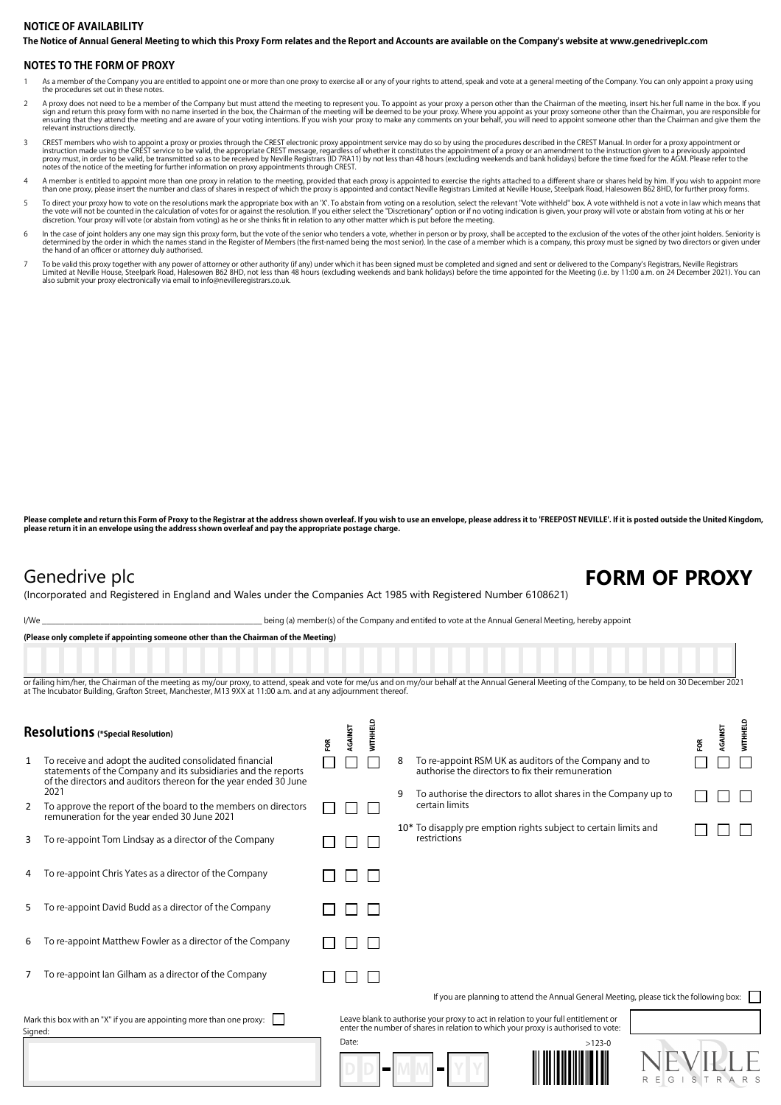## **The Notice of Annual General Meeting to which this Proxy Form relates and the Report and Accounts are available on the Company's website at www.genedriveplc.com NOTICE OF AVAILABILITY**

### **NOTES TO THE FORM OF PROXY**

- 1 As a member of the Company you are entitled to appoint one or more than one proxy to exercise all or any of your rights to attend, speak and vote at a general meeting of the Company. You can only appoint a proxy using the procedures set out in these notes.
- A proxy does not need to be a member of the Company but must attend the meeting to represent you. To appoint as your proxy a person other than the Chairman of the meeting, insert his.her full name in the box. If you sign a
- CREST members who wish to appoint a proxy or proxies through the CREST electronic proxy appointment service may do so by using the procedures described in the CREST Manual. In order for a proxy appointment or intruction ma notes of the notice of the meeting for further information on proxy appointments through CREST.
- A member is entitled to appoint more than one proxy in relation to the meeting, provided that each proxy is appointed to exercise the rights attached to a different share or shares held by him. If you wish to appoint more
- To direct your proxy how to vote on the resolutions mark the appropriate box with an 'X'. To abstain from voting on a resolution, select the relevant "Vote withheld" box. A vote withheld is not a vote in law which means th
- In the case of ioint holders any one may sign this proxy form but the vote of the senior who tenders a vote whether in person or by proxy shall be accepted to the perclusion of the votes of the other ioint holders. Seniori determined by the order in which the names stand in the Register of Members (the first-named being the most senior). In the case of a member which is a company, this proxy must be signed by two directors or given under<br>the
- To be valid this proxy together with any power of attorney or other authority (if any) under which it has been signed must be completed and signed and sent or delivered to the Company's Registrars, Neville Registrars<br>Limit

Please complete and return this Form of Proxy to the Registrar at the address shown overleaf. If you wish to use an envelope, please address it to 'FREEPOST NEVILLE'. If it is posted outside the United Kingdom, **please return it in an envelope using the address shown overleaf and pay the appropriate postage charge.**

## Genedrive plc **FORM OF PROXY**

(Incorporated and Registered in England and Wales under the Companies Act 1985 with Registered Number 6108621)

I/We state of the Company and entitled to vote at the Annual General Meeting, hereby appoint

**(Please only complete if appointing someone other than the Chairman of the Meeting)**

or failing him/her, the Chairman of the meeting as my/our proxy, to attend, speak and vote for me/us and on my/our behalf at the Annual General Meeting of the Company, to be held on 30 December 2021 at The Incubator Building, Grafton Street, Manchester, M13 9XX at 11:00 a.m. and at any adjournment thereof

| <b>Resolutions</b> (*Special Resolution)                                        |                                                                                                                                                                                               | ទ្ថ | AGAINST | <b>NITHHELD</b> |   |                                                                                                                                                                         | <b>NITHHELD</b><br>AGAINST<br>ΕQΒ |
|---------------------------------------------------------------------------------|-----------------------------------------------------------------------------------------------------------------------------------------------------------------------------------------------|-----|---------|-----------------|---|-------------------------------------------------------------------------------------------------------------------------------------------------------------------------|-----------------------------------|
| 1                                                                               | To receive and adopt the audited consolidated financial<br>statements of the Company and its subsidiaries and the reports<br>of the directors and auditors thereon for the year ended 30 June |     |         |                 | 8 | To re-appoint RSM UK as auditors of the Company and to<br>authorise the directors to fix their remuneration                                                             |                                   |
| 2                                                                               | 2021<br>To approve the report of the board to the members on directors<br>remuneration for the year ended 30 June 2021                                                                        |     |         |                 |   | To authorise the directors to allot shares in the Company up to<br>certain limits                                                                                       |                                   |
| 3                                                                               | To re-appoint Tom Lindsay as a director of the Company                                                                                                                                        |     |         |                 |   | 10* To disapply pre emption rights subject to certain limits and<br>restrictions                                                                                        |                                   |
| 4                                                                               | To re-appoint Chris Yates as a director of the Company                                                                                                                                        |     |         |                 |   |                                                                                                                                                                         |                                   |
| 5                                                                               | To re-appoint David Budd as a director of the Company                                                                                                                                         |     |         |                 |   |                                                                                                                                                                         |                                   |
| 6                                                                               | To re-appoint Matthew Fowler as a director of the Company                                                                                                                                     |     |         |                 |   |                                                                                                                                                                         |                                   |
|                                                                                 | To re-appoint lan Gilham as a director of the Company                                                                                                                                         |     |         |                 |   |                                                                                                                                                                         |                                   |
|                                                                                 |                                                                                                                                                                                               |     |         |                 |   | If you are planning to attend the Annual General Meeting, please tick the following box:                                                                                |                                   |
| Mark this box with an "X" if you are appointing more than one proxy:<br>Signed: |                                                                                                                                                                                               |     |         |                 |   | Leave blank to authorise your proxy to act in relation to your full entitlement or<br>enter the number of shares in relation to which your proxy is authorised to vote: |                                   |
|                                                                                 |                                                                                                                                                                                               |     | Date:   |                 |   | $>123-0$                                                                                                                                                                | GISTRARS                          |